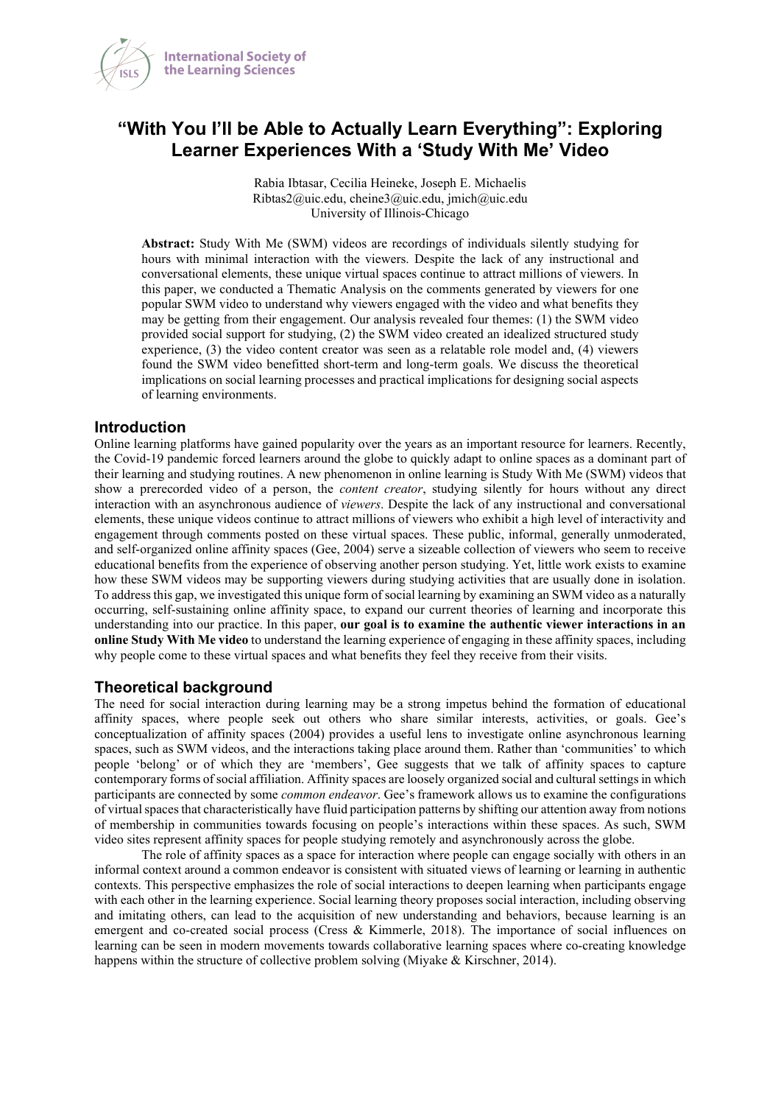

# **"With You I'll be Able to Actually Learn Everything": Exploring Learner Experiences With a 'Study With Me' Video**

Rabia Ibtasar, Cecilia Heineke, Joseph E. Michaelis Ribtas2@uic.edu, cheine3@uic.edu, jmich@uic.edu University of Illinois-Chicago

**Abstract:** Study With Me (SWM) videos are recordings of individuals silently studying for hours with minimal interaction with the viewers. Despite the lack of any instructional and conversational elements, these unique virtual spaces continue to attract millions of viewers. In this paper, we conducted a Thematic Analysis on the comments generated by viewers for one popular SWM video to understand why viewers engaged with the video and what benefits they may be getting from their engagement. Our analysis revealed four themes: (1) the SWM video provided social support for studying, (2) the SWM video created an idealized structured study experience, (3) the video content creator was seen as a relatable role model and, (4) viewers found the SWM video benefitted short-term and long-term goals. We discuss the theoretical implications on social learning processes and practical implications for designing social aspects of learning environments.

#### **Introduction**

Online learning platforms have gained popularity over the years as an important resource for learners. Recently, the Covid-19 pandemic forced learners around the globe to quickly adapt to online spaces as a dominant part of their learning and studying routines. A new phenomenon in online learning is Study With Me (SWM) videos that show a prerecorded video of a person, the *content creator*, studying silently for hours without any direct interaction with an asynchronous audience of *viewers*. Despite the lack of any instructional and conversational elements, these unique videos continue to attract millions of viewers who exhibit a high level of interactivity and engagement through comments posted on these virtual spaces. These public, informal, generally unmoderated, and self-organized online affinity spaces (Gee, 2004) serve a sizeable collection of viewers who seem to receive educational benefits from the experience of observing another person studying. Yet, little work exists to examine how these SWM videos may be supporting viewers during studying activities that are usually done in isolation. To address this gap, we investigated this unique form of social learning by examining an SWM video as a naturally occurring, self-sustaining online affinity space, to expand our current theories of learning and incorporate this understanding into our practice. In this paper, **our goal is to examine the authentic viewer interactions in an online Study With Me video** to understand the learning experience of engaging in these affinity spaces, including why people come to these virtual spaces and what benefits they feel they receive from their visits.

## **Theoretical background**

The need for social interaction during learning may be a strong impetus behind the formation of educational affinity spaces, where people seek out others who share similar interests, activities, or goals. Gee's conceptualization of affinity spaces (2004) provides a useful lens to investigate online asynchronous learning spaces, such as SWM videos, and the interactions taking place around them. Rather than 'communities' to which people 'belong' or of which they are 'members', Gee suggests that we talk of affinity spaces to capture contemporary forms of social affiliation. Affinity spaces are loosely organized social and cultural settings in which participants are connected by some *common endeavor*. Gee's framework allows us to examine the configurations of virtual spaces that characteristically have fluid participation patterns by shifting our attention away from notions of membership in communities towards focusing on people's interactions within these spaces. As such, SWM video sites represent affinity spaces for people studying remotely and asynchronously across the globe.

The role of affinity spaces as a space for interaction where people can engage socially with others in an informal context around a common endeavor is consistent with situated views of learning or learning in authentic contexts. This perspective emphasizes the role of social interactions to deepen learning when participants engage with each other in the learning experience. Social learning theory proposes social interaction, including observing and imitating others, can lead to the acquisition of new understanding and behaviors, because learning is an emergent and co-created social process (Cress & Kimmerle, 2018). The importance of social influences on learning can be seen in modern movements towards collaborative learning spaces where co-creating knowledge happens within the structure of collective problem solving (Miyake & Kirschner, 2014).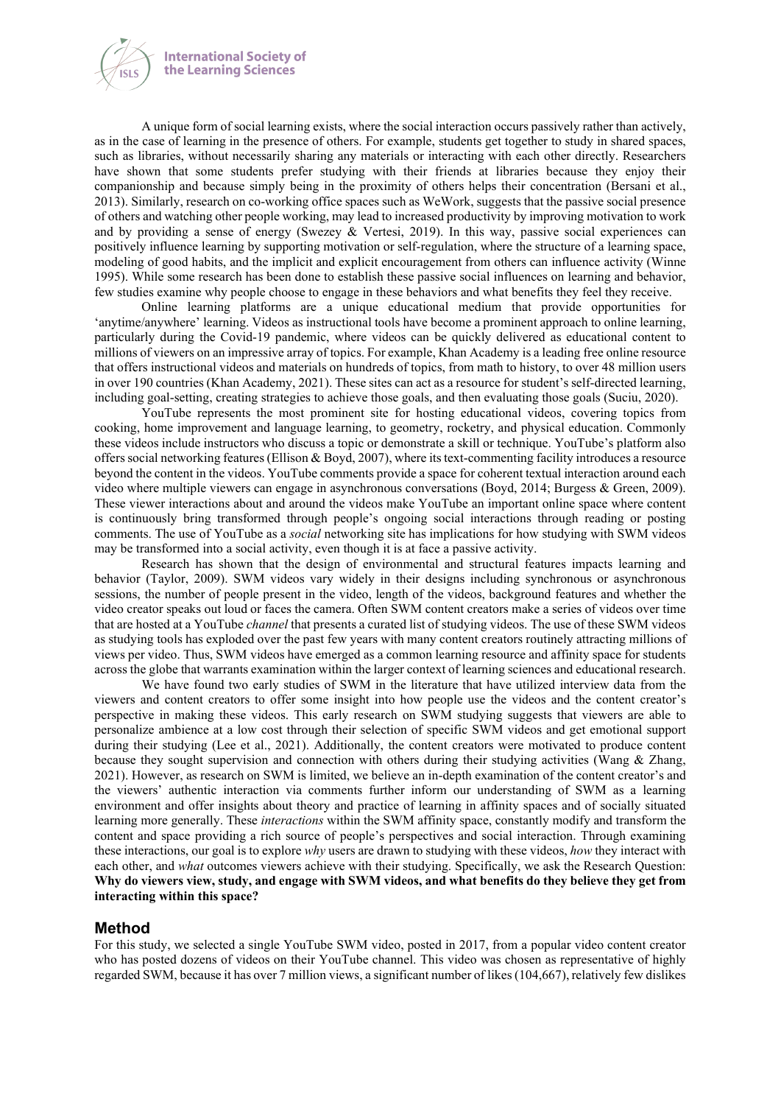

A unique form of social learning exists, where the social interaction occurs passively rather than actively, as in the case of learning in the presence of others. For example, students get together to study in shared spaces, such as libraries, without necessarily sharing any materials or interacting with each other directly. Researchers have shown that some students prefer studying with their friends at libraries because they enjoy their companionship and because simply being in the proximity of others helps their concentration (Bersani et al., 2013). Similarly, research on co-working office spaces such as WeWork, suggests that the passive social presence of others and watching other people working, may lead to increased productivity by improving motivation to work and by providing a sense of energy (Swezey & Vertesi, 2019). In this way, passive social experiences can positively influence learning by supporting motivation or self-regulation, where the structure of a learning space, modeling of good habits, and the implicit and explicit encouragement from others can influence activity (Winne 1995). While some research has been done to establish these passive social influences on learning and behavior, few studies examine why people choose to engage in these behaviors and what benefits they feel they receive.

Online learning platforms are a unique educational medium that provide opportunities for 'anytime/anywhere' learning. Videos as instructional tools have become a prominent approach to online learning, particularly during the Covid-19 pandemic, where videos can be quickly delivered as educational content to millions of viewers on an impressive array of topics. For example, Khan Academy is a leading free online resource that offers instructional videos and materials on hundreds of topics, from math to history, to over 48 million users in over 190 countries (Khan Academy, 2021). These sites can act as a resource for student's self-directed learning, including goal-setting, creating strategies to achieve those goals, and then evaluating those goals (Suciu, 2020).

YouTube represents the most prominent site for hosting educational videos, covering topics from cooking, home improvement and language learning, to geometry, rocketry, and physical education. Commonly these videos include instructors who discuss a topic or demonstrate a skill or technique. YouTube's platform also offers social networking features (Ellison & Boyd, 2007), where its text-commenting facility introduces a resource beyond the content in the videos. YouTube comments provide a space for coherent textual interaction around each video where multiple viewers can engage in asynchronous conversations (Boyd, 2014; Burgess & Green, 2009). These viewer interactions about and around the videos make YouTube an important online space where content is continuously bring transformed through people's ongoing social interactions through reading or posting comments. The use of YouTube as a *social* networking site has implications for how studying with SWM videos may be transformed into a social activity, even though it is at face a passive activity.

Research has shown that the design of environmental and structural features impacts learning and behavior (Taylor, 2009). SWM videos vary widely in their designs including synchronous or asynchronous sessions, the number of people present in the video, length of the videos, background features and whether the video creator speaks out loud or faces the camera. Often SWM content creators make a series of videos over time that are hosted at a YouTube *channel* that presents a curated list of studying videos. The use of these SWM videos as studying tools has exploded over the past few years with many content creators routinely attracting millions of views per video. Thus, SWM videos have emerged as a common learning resource and affinity space for students across the globe that warrants examination within the larger context of learning sciences and educational research.

We have found two early studies of SWM in the literature that have utilized interview data from the viewers and content creators to offer some insight into how people use the videos and the content creator's perspective in making these videos. This early research on SWM studying suggests that viewers are able to personalize ambience at a low cost through their selection of specific SWM videos and get emotional support during their studying (Lee et al., 2021). Additionally, the content creators were motivated to produce content because they sought supervision and connection with others during their studying activities (Wang & Zhang, 2021). However, as research on SWM is limited, we believe an in-depth examination of the content creator's and the viewers' authentic interaction via comments further inform our understanding of SWM as a learning environment and offer insights about theory and practice of learning in affinity spaces and of socially situated learning more generally. These *interactions* within the SWM affinity space, constantly modify and transform the content and space providing a rich source of people's perspectives and social interaction. Through examining these interactions, our goal is to explore *why* users are drawn to studying with these videos, *how* they interact with each other, and *what* outcomes viewers achieve with their studying. Specifically, we ask the Research Question: **Why do viewers view, study, and engage with SWM videos, and what benefits do they believe they get from interacting within this space?**

#### **Method**

For this study, we selected a single YouTube SWM video, posted in 2017, from a popular video content creator who has posted dozens of videos on their YouTube channel. This video was chosen as representative of highly regarded SWM, because it has over 7 million views, a significant number of likes (104,667), relatively few dislikes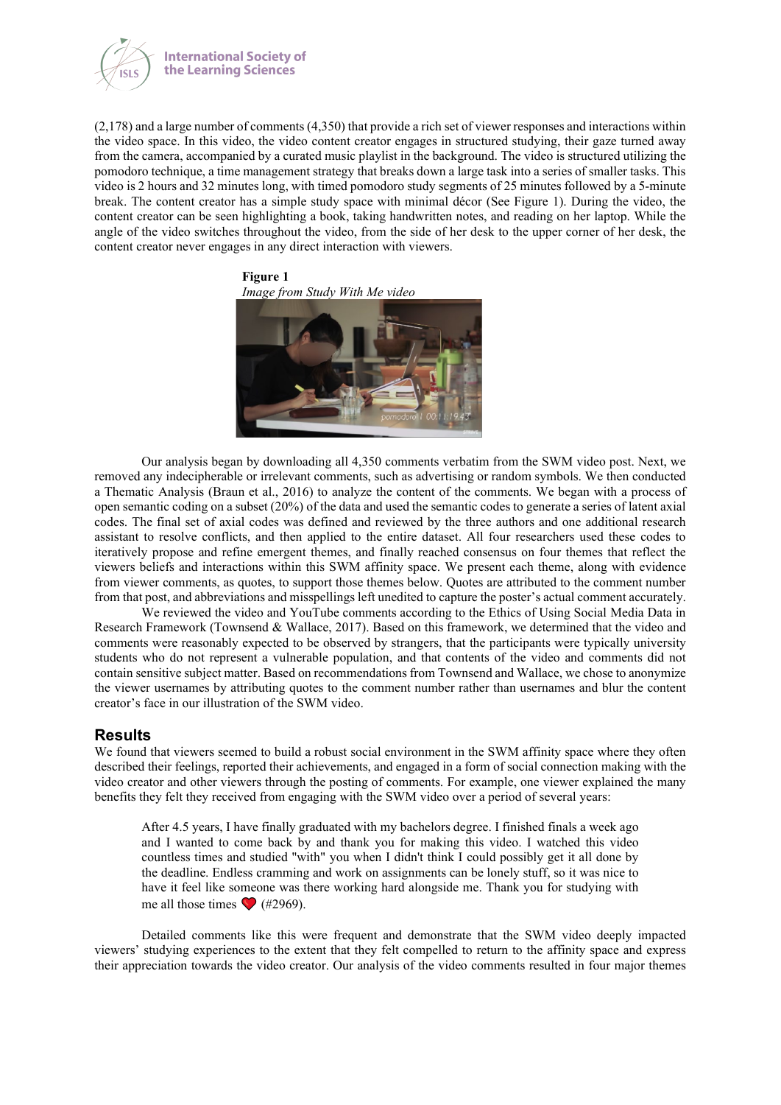

(2,178) and a large number of comments (4,350) that provide a rich set of viewer responses and interactions within the video space. In this video, the video content creator engages in structured studying, their gaze turned away from the camera, accompanied by a curated music playlist in the background. The video is structured utilizing the pomodoro technique, a time management strategy that breaks down a large task into a series of smaller tasks. This video is 2 hours and 32 minutes long, with timed pomodoro study segments of 25 minutes followed by a 5-minute break. The content creator has a simple study space with minimal décor (See Figure 1). During the video, the content creator can be seen highlighting a book, taking handwritten notes, and reading on her laptop. While the angle of the video switches throughout the video, from the side of her desk to the upper corner of her desk, the content creator never engages in any direct interaction with viewers.



Our analysis began by downloading all 4,350 comments verbatim from the SWM video post. Next, we removed any indecipherable or irrelevant comments, such as advertising or random symbols. We then conducted a Thematic Analysis (Braun et al., 2016) to analyze the content of the comments. We began with a process of open semantic coding on a subset (20%) of the data and used the semantic codes to generate a series of latent axial codes. The final set of axial codes was defined and reviewed by the three authors and one additional research assistant to resolve conflicts, and then applied to the entire dataset. All four researchers used these codes to iteratively propose and refine emergent themes, and finally reached consensus on four themes that reflect the viewers beliefs and interactions within this SWM affinity space. We present each theme, along with evidence from viewer comments, as quotes, to support those themes below. Quotes are attributed to the comment number from that post, and abbreviations and misspellings left unedited to capture the poster's actual comment accurately.

We reviewed the video and YouTube comments according to the Ethics of Using Social Media Data in Research Framework (Townsend & Wallace, 2017). Based on this framework, we determined that the video and comments were reasonably expected to be observed by strangers, that the participants were typically university students who do not represent a vulnerable population, and that contents of the video and comments did not contain sensitive subject matter. Based on recommendations from Townsend and Wallace, we chose to anonymize the viewer usernames by attributing quotes to the comment number rather than usernames and blur the content creator's face in our illustration of the SWM video.

#### **Results**

We found that viewers seemed to build a robust social environment in the SWM affinity space where they often described their feelings, reported their achievements, and engaged in a form of social connection making with the video creator and other viewers through the posting of comments. For example, one viewer explained the many benefits they felt they received from engaging with the SWM video over a period of several years:

After 4.5 years, I have finally graduated with my bachelors degree. I finished finals a week ago and I wanted to come back by and thank you for making this video. I watched this video countless times and studied "with" you when I didn't think I could possibly get it all done by the deadline. Endless cramming and work on assignments can be lonely stuff, so it was nice to have it feel like someone was there working hard alongside me. Thank you for studying with me all those times  $\bigcirc$  (#2969).

Detailed comments like this were frequent and demonstrate that the SWM video deeply impacted viewers' studying experiences to the extent that they felt compelled to return to the affinity space and express their appreciation towards the video creator. Our analysis of the video comments resulted in four major themes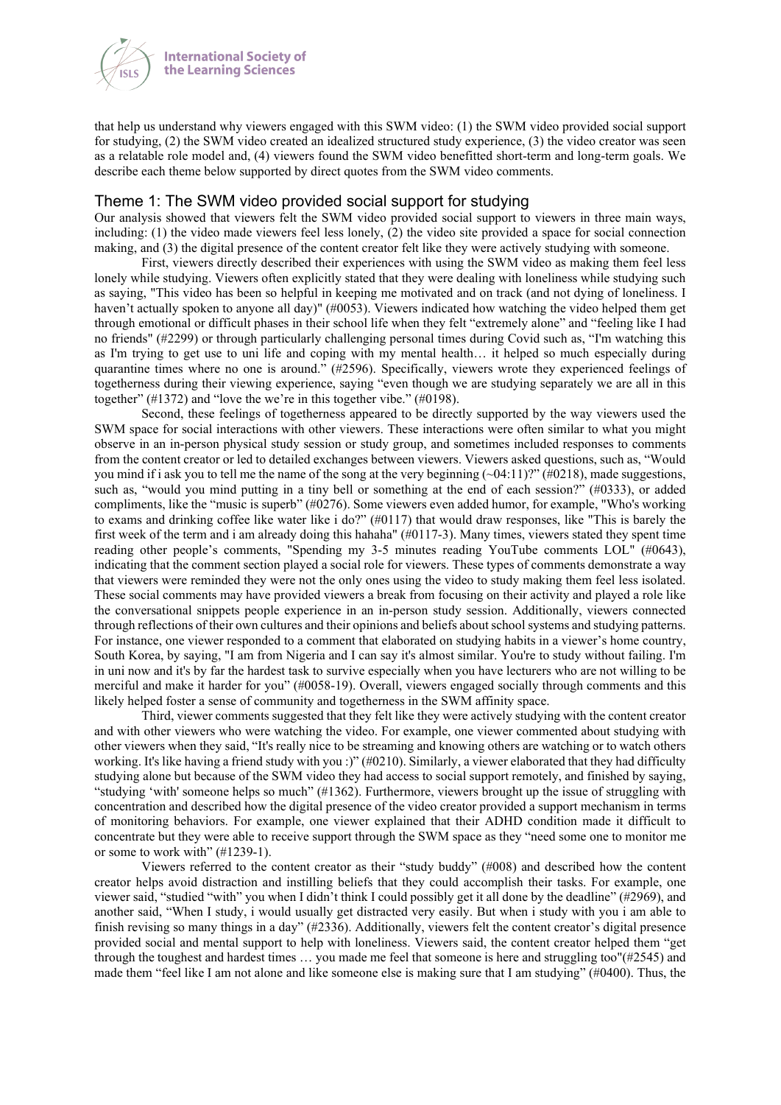

that help us understand why viewers engaged with this SWM video: (1) the SWM video provided social support for studying, (2) the SWM video created an idealized structured study experience, (3) the video creator was seen as a relatable role model and, (4) viewers found the SWM video benefitted short-term and long-term goals. We describe each theme below supported by direct quotes from the SWM video comments.

#### Theme 1: The SWM video provided social support for studying

Our analysis showed that viewers felt the SWM video provided social support to viewers in three main ways, including: (1) the video made viewers feel less lonely, (2) the video site provided a space for social connection making, and (3) the digital presence of the content creator felt like they were actively studying with someone.

First, viewers directly described their experiences with using the SWM video as making them feel less lonely while studying. Viewers often explicitly stated that they were dealing with loneliness while studying such as saying, "This video has been so helpful in keeping me motivated and on track (and not dying of loneliness. I haven't actually spoken to anyone all day)" (#0053). Viewers indicated how watching the video helped them get through emotional or difficult phases in their school life when they felt "extremely alone" and "feeling like I had no friends" (#2299) or through particularly challenging personal times during Covid such as, "I'm watching this as I'm trying to get use to uni life and coping with my mental health… it helped so much especially during quarantine times where no one is around." (#2596). Specifically, viewers wrote they experienced feelings of togetherness during their viewing experience, saying "even though we are studying separately we are all in this together" (#1372) and "love the we're in this together vibe." (#0198).

Second, these feelings of togetherness appeared to be directly supported by the way viewers used the SWM space for social interactions with other viewers. These interactions were often similar to what you might observe in an in-person physical study session or study group, and sometimes included responses to comments from the content creator or led to detailed exchanges between viewers. Viewers asked questions, such as, "Would you mind if i ask you to tell me the name of the song at the very beginning  $(\sim 04:11)$ ?" (#0218), made suggestions, such as, "would you mind putting in a tiny bell or something at the end of each session?" (#0333), or added compliments, like the "music is superb" (#0276). Some viewers even added humor, for example, "Who's working to exams and drinking coffee like water like i do?"  $(\#0117)$  that would draw responses, like "This is barely the first week of the term and i am already doing this hahaha" (#0117-3). Many times, viewers stated they spent time reading other people's comments, "Spending my 3-5 minutes reading YouTube comments LOL" (#0643), indicating that the comment section played a social role for viewers. These types of comments demonstrate a way that viewers were reminded they were not the only ones using the video to study making them feel less isolated. These social comments may have provided viewers a break from focusing on their activity and played a role like the conversational snippets people experience in an in-person study session. Additionally, viewers connected through reflections of their own cultures and their opinions and beliefs about school systems and studying patterns. For instance, one viewer responded to a comment that elaborated on studying habits in a viewer's home country, South Korea, by saying, "I am from Nigeria and I can say it's almost similar. You're to study without failing. I'm in uni now and it's by far the hardest task to survive especially when you have lecturers who are not willing to be merciful and make it harder for you" (#0058-19). Overall, viewers engaged socially through comments and this likely helped foster a sense of community and togetherness in the SWM affinity space.

Third, viewer comments suggested that they felt like they were actively studying with the content creator and with other viewers who were watching the video. For example, one viewer commented about studying with other viewers when they said, "It's really nice to be streaming and knowing others are watching or to watch others working. It's like having a friend study with you :)" (#0210). Similarly, a viewer elaborated that they had difficulty studying alone but because of the SWM video they had access to social support remotely, and finished by saying, "studying 'with' someone helps so much" (#1362). Furthermore, viewers brought up the issue of struggling with concentration and described how the digital presence of the video creator provided a support mechanism in terms of monitoring behaviors. For example, one viewer explained that their ADHD condition made it difficult to concentrate but they were able to receive support through the SWM space as they "need some one to monitor me or some to work with" (#1239-1).

Viewers referred to the content creator as their "study buddy" (#008) and described how the content creator helps avoid distraction and instilling beliefs that they could accomplish their tasks. For example, one viewer said, "studied "with" you when I didn't think I could possibly get it all done by the deadline" (#2969), and another said, "When I study, i would usually get distracted very easily. But when i study with you i am able to finish revising so many things in a day" (#2336). Additionally, viewers felt the content creator's digital presence provided social and mental support to help with loneliness. Viewers said, the content creator helped them "get through the toughest and hardest times … you made me feel that someone is here and struggling too"(#2545) and made them "feel like I am not alone and like someone else is making sure that I am studying" (#0400). Thus, the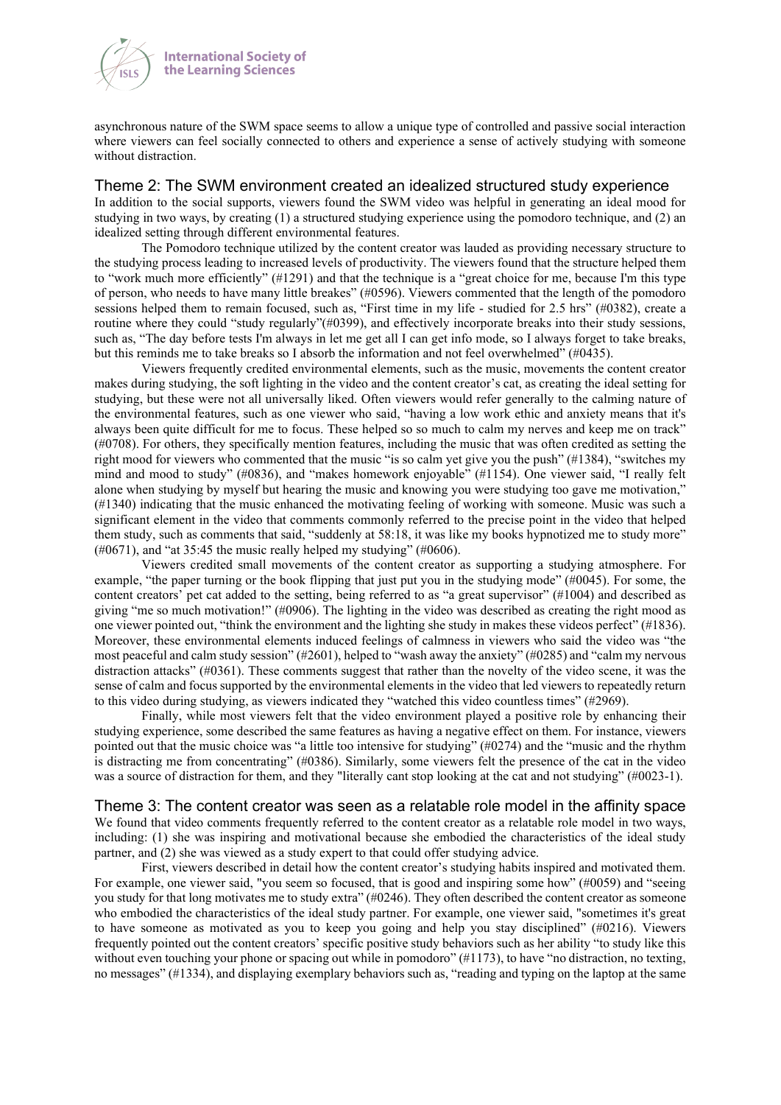

asynchronous nature of the SWM space seems to allow a unique type of controlled and passive social interaction where viewers can feel socially connected to others and experience a sense of actively studying with someone without distraction.

#### Theme 2: The SWM environment created an idealized structured study experience

In addition to the social supports, viewers found the SWM video was helpful in generating an ideal mood for studying in two ways, by creating (1) a structured studying experience using the pomodoro technique, and (2) an idealized setting through different environmental features.

The Pomodoro technique utilized by the content creator was lauded as providing necessary structure to the studying process leading to increased levels of productivity. The viewers found that the structure helped them to "work much more efficiently" (#1291) and that the technique is a "great choice for me, because I'm this type of person, who needs to have many little breakes" (#0596). Viewers commented that the length of the pomodoro sessions helped them to remain focused, such as, "First time in my life - studied for 2.5 hrs" (#0382), create a routine where they could "study regularly"(#0399), and effectively incorporate breaks into their study sessions, such as, "The day before tests I'm always in let me get all I can get info mode, so I always forget to take breaks, but this reminds me to take breaks so I absorb the information and not feel overwhelmed" (#0435).

Viewers frequently credited environmental elements, such as the music, movements the content creator makes during studying, the soft lighting in the video and the content creator's cat, as creating the ideal setting for studying, but these were not all universally liked. Often viewers would refer generally to the calming nature of the environmental features, such as one viewer who said, "having a low work ethic and anxiety means that it's always been quite difficult for me to focus. These helped so so much to calm my nerves and keep me on track" (#0708). For others, they specifically mention features, including the music that was often credited as setting the right mood for viewers who commented that the music "is so calm yet give you the push" (#1384), "switches my mind and mood to study" (#0836), and "makes homework enjoyable" (#1154). One viewer said, "I really felt alone when studying by myself but hearing the music and knowing you were studying too gave me motivation," (#1340) indicating that the music enhanced the motivating feeling of working with someone. Music was such a significant element in the video that comments commonly referred to the precise point in the video that helped them study, such as comments that said, "suddenly at 58:18, it was like my books hypnotized me to study more"  $(\text{\#}0671)$ , and "at 35:45 the music really helped my studying" (#0606).

Viewers credited small movements of the content creator as supporting a studying atmosphere. For example, "the paper turning or the book flipping that just put you in the studying mode" (#0045). For some, the content creators' pet cat added to the setting, being referred to as "a great supervisor" (#1004) and described as giving "me so much motivation!" ( $#0906$ ). The lighting in the video was described as creating the right mood as one viewer pointed out, "think the environment and the lighting she study in makes these videos perfect" (#1836). Moreover, these environmental elements induced feelings of calmness in viewers who said the video was "the most peaceful and calm study session" (#2601), helped to "wash away the anxiety" (#0285) and "calm my nervous distraction attacks" (#0361). These comments suggest that rather than the novelty of the video scene, it was the sense of calm and focus supported by the environmental elements in the video that led viewers to repeatedly return to this video during studying, as viewers indicated they "watched this video countless times" (#2969).

Finally, while most viewers felt that the video environment played a positive role by enhancing their studying experience, some described the same features as having a negative effect on them. For instance, viewers pointed out that the music choice was "a little too intensive for studying" (#0274) and the "music and the rhythm is distracting me from concentrating" (#0386). Similarly, some viewers felt the presence of the cat in the video was a source of distraction for them, and they "literally cant stop looking at the cat and not studying" (#0023-1).

#### Theme 3: The content creator was seen as a relatable role model in the affinity space

We found that video comments frequently referred to the content creator as a relatable role model in two ways, including: (1) she was inspiring and motivational because she embodied the characteristics of the ideal study partner, and (2) she was viewed as a study expert to that could offer studying advice.

First, viewers described in detail how the content creator's studying habits inspired and motivated them. For example, one viewer said, "you seem so focused, that is good and inspiring some how" (#0059) and "seeing you study for that long motivates me to study extra" (#0246). They often described the content creator as someone who embodied the characteristics of the ideal study partner. For example, one viewer said, "sometimes it's great to have someone as motivated as you to keep you going and help you stay disciplined" (#0216). Viewers frequently pointed out the content creators' specific positive study behaviors such as her ability "to study like this without even touching your phone or spacing out while in pomodoro" (#1173), to have "no distraction, no texting, no messages" (#1334), and displaying exemplary behaviors such as, "reading and typing on the laptop at the same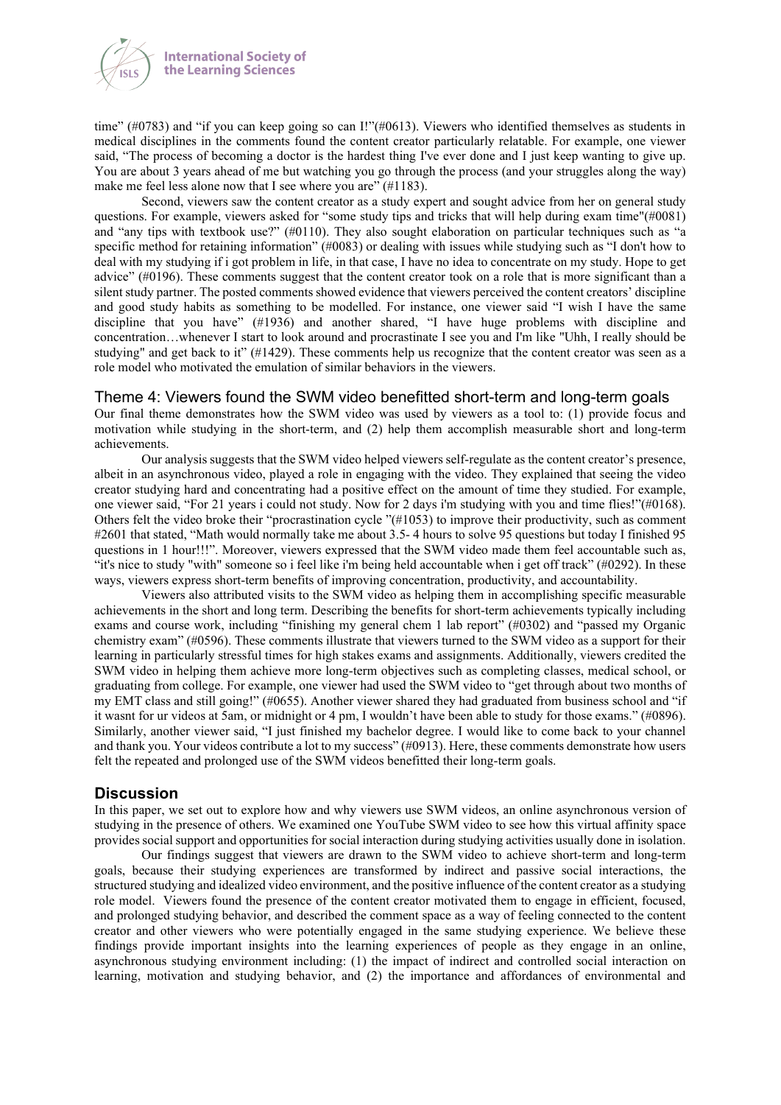

time" (#0783) and "if you can keep going so can I!"(#0613). Viewers who identified themselves as students in medical disciplines in the comments found the content creator particularly relatable. For example, one viewer said, "The process of becoming a doctor is the hardest thing I've ever done and I just keep wanting to give up. You are about 3 years ahead of me but watching you go through the process (and your struggles along the way) make me feel less alone now that I see where you are" (#1183).

Second, viewers saw the content creator as a study expert and sought advice from her on general study questions. For example, viewers asked for "some study tips and tricks that will help during exam time"(#0081) and "any tips with textbook use?" (#0110). They also sought elaboration on particular techniques such as "a specific method for retaining information" (#0083) or dealing with issues while studying such as "I don't how to deal with my studying if i got problem in life, in that case, I have no idea to concentrate on my study. Hope to get advice" (#0196). These comments suggest that the content creator took on a role that is more significant than a silent study partner. The posted comments showed evidence that viewers perceived the content creators' discipline and good study habits as something to be modelled. For instance, one viewer said "I wish I have the same discipline that you have" (#1936) and another shared, "I have huge problems with discipline and concentration…whenever I start to look around and procrastinate I see you and I'm like "Uhh, I really should be studying" and get back to it" (#1429). These comments help us recognize that the content creator was seen as a role model who motivated the emulation of similar behaviors in the viewers.

#### Theme 4: Viewers found the SWM video benefitted short-term and long-term goals

Our final theme demonstrates how the SWM video was used by viewers as a tool to: (1) provide focus and motivation while studying in the short-term, and (2) help them accomplish measurable short and long-term achievements.

Our analysis suggests that the SWM video helped viewers self-regulate as the content creator's presence, albeit in an asynchronous video, played a role in engaging with the video. They explained that seeing the video creator studying hard and concentrating had a positive effect on the amount of time they studied. For example, one viewer said, "For 21 years i could not study. Now for 2 days i'm studying with you and time flies!"(#0168). Others felt the video broke their "procrastination cycle "(#1053) to improve their productivity, such as comment #2601 that stated, "Math would normally take me about 3.5- 4 hours to solve 95 questions but today I finished 95 questions in 1 hour!!!". Moreover, viewers expressed that the SWM video made them feel accountable such as, "it's nice to study "with" someone so i feel like i'm being held accountable when i get off track" (#0292). In these ways, viewers express short-term benefits of improving concentration, productivity, and accountability.

Viewers also attributed visits to the SWM video as helping them in accomplishing specific measurable achievements in the short and long term. Describing the benefits for short-term achievements typically including exams and course work, including "finishing my general chem 1 lab report" (#0302) and "passed my Organic chemistry exam" (#0596). These comments illustrate that viewers turned to the SWM video as a support for their learning in particularly stressful times for high stakes exams and assignments. Additionally, viewers credited the SWM video in helping them achieve more long-term objectives such as completing classes, medical school, or graduating from college. For example, one viewer had used the SWM video to "get through about two months of my EMT class and still going!" (#0655). Another viewer shared they had graduated from business school and "if it wasnt for ur videos at 5am, or midnight or 4 pm, I wouldn't have been able to study for those exams." (#0896). Similarly, another viewer said, "I just finished my bachelor degree. I would like to come back to your channel and thank you. Your videos contribute a lot to my success" (#0913). Here, these comments demonstrate how users felt the repeated and prolonged use of the SWM videos benefitted their long-term goals.

#### **Discussion**

In this paper, we set out to explore how and why viewers use SWM videos, an online asynchronous version of studying in the presence of others. We examined one YouTube SWM video to see how this virtual affinity space provides social support and opportunities for social interaction during studying activities usually done in isolation.

Our findings suggest that viewers are drawn to the SWM video to achieve short-term and long-term goals, because their studying experiences are transformed by indirect and passive social interactions, the structured studying and idealized video environment, and the positive influence of the content creator as a studying role model. Viewers found the presence of the content creator motivated them to engage in efficient, focused, and prolonged studying behavior, and described the comment space as a way of feeling connected to the content creator and other viewers who were potentially engaged in the same studying experience. We believe these findings provide important insights into the learning experiences of people as they engage in an online, asynchronous studying environment including: (1) the impact of indirect and controlled social interaction on learning, motivation and studying behavior, and (2) the importance and affordances of environmental and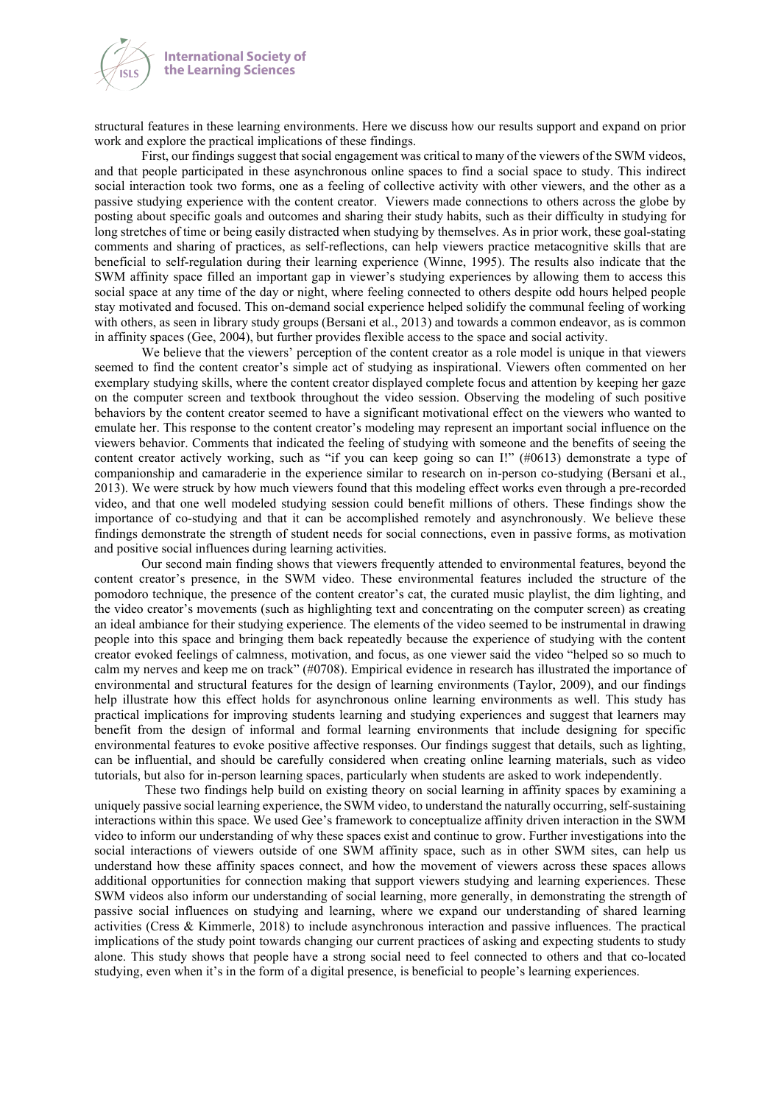

structural features in these learning environments. Here we discuss how our results support and expand on prior work and explore the practical implications of these findings.

First, our findings suggest that social engagement was critical to many of the viewers of the SWM videos, and that people participated in these asynchronous online spaces to find a social space to study. This indirect social interaction took two forms, one as a feeling of collective activity with other viewers, and the other as a passive studying experience with the content creator. Viewers made connections to others across the globe by posting about specific goals and outcomes and sharing their study habits, such as their difficulty in studying for long stretches of time or being easily distracted when studying by themselves. As in prior work, these goal-stating comments and sharing of practices, as self-reflections, can help viewers practice metacognitive skills that are beneficial to self-regulation during their learning experience (Winne, 1995). The results also indicate that the SWM affinity space filled an important gap in viewer's studying experiences by allowing them to access this social space at any time of the day or night, where feeling connected to others despite odd hours helped people stay motivated and focused. This on-demand social experience helped solidify the communal feeling of working with others, as seen in library study groups (Bersani et al., 2013) and towards a common endeavor, as is common in affinity spaces (Gee, 2004), but further provides flexible access to the space and social activity.

We believe that the viewers' perception of the content creator as a role model is unique in that viewers seemed to find the content creator's simple act of studying as inspirational. Viewers often commented on her exemplary studying skills, where the content creator displayed complete focus and attention by keeping her gaze on the computer screen and textbook throughout the video session. Observing the modeling of such positive behaviors by the content creator seemed to have a significant motivational effect on the viewers who wanted to emulate her. This response to the content creator's modeling may represent an important social influence on the viewers behavior. Comments that indicated the feeling of studying with someone and the benefits of seeing the content creator actively working, such as "if you can keep going so can I!" (#0613) demonstrate a type of companionship and camaraderie in the experience similar to research on in-person co-studying (Bersani et al., 2013). We were struck by how much viewers found that this modeling effect works even through a pre-recorded video, and that one well modeled studying session could benefit millions of others. These findings show the importance of co-studying and that it can be accomplished remotely and asynchronously. We believe these findings demonstrate the strength of student needs for social connections, even in passive forms, as motivation and positive social influences during learning activities.

Our second main finding shows that viewers frequently attended to environmental features, beyond the content creator's presence, in the SWM video. These environmental features included the structure of the pomodoro technique, the presence of the content creator's cat, the curated music playlist, the dim lighting, and the video creator's movements (such as highlighting text and concentrating on the computer screen) as creating an ideal ambiance for their studying experience. The elements of the video seemed to be instrumental in drawing people into this space and bringing them back repeatedly because the experience of studying with the content creator evoked feelings of calmness, motivation, and focus, as one viewer said the video "helped so so much to calm my nerves and keep me on track" (#0708). Empirical evidence in research has illustrated the importance of environmental and structural features for the design of learning environments (Taylor, 2009), and our findings help illustrate how this effect holds for asynchronous online learning environments as well. This study has practical implications for improving students learning and studying experiences and suggest that learners may benefit from the design of informal and formal learning environments that include designing for specific environmental features to evoke positive affective responses. Our findings suggest that details, such as lighting, can be influential, and should be carefully considered when creating online learning materials, such as video tutorials, but also for in-person learning spaces, particularly when students are asked to work independently.

These two findings help build on existing theory on social learning in affinity spaces by examining a uniquely passive social learning experience, the SWM video, to understand the naturally occurring, self-sustaining interactions within this space. We used Gee's framework to conceptualize affinity driven interaction in the SWM video to inform our understanding of why these spaces exist and continue to grow. Further investigations into the social interactions of viewers outside of one SWM affinity space, such as in other SWM sites, can help us understand how these affinity spaces connect, and how the movement of viewers across these spaces allows additional opportunities for connection making that support viewers studying and learning experiences. These SWM videos also inform our understanding of social learning, more generally, in demonstrating the strength of passive social influences on studying and learning, where we expand our understanding of shared learning activities (Cress & Kimmerle, 2018) to include asynchronous interaction and passive influences. The practical implications of the study point towards changing our current practices of asking and expecting students to study alone. This study shows that people have a strong social need to feel connected to others and that co-located studying, even when it's in the form of a digital presence, is beneficial to people's learning experiences.